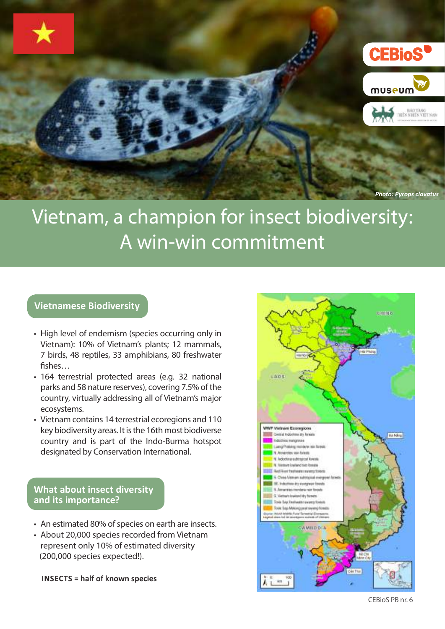

# Vietnam, a champion for insect biodiversity: A win-win commitment

#### **Vietnamese Biodiversity**

- High level of endemism (species occurring only in Vietnam): 10% of Vietnam's plants; 12 mammals, 7 birds, 48 reptiles, 33 amphibians, 80 freshwater fishes…
- 164 terrestrial protected areas (e.g. 32 national parks and 58 nature reserves), covering 7.5% of the country, virtually addressing all of Vietnam's major ecosystems.
- Vietnam contains 14 terrestrial ecoregions and 110 key biodiversity areas. It is the 16th most biodiverse country and is part of the Indo-Burma hotspot designated by Conservation International.

### **What about insect diversity and its importance?**

- An estimated 80% of species on earth are insects.
- About 20,000 species recorded from Vietnam represent only 10% of estimated diversity (200,000 species expected!).

**INSECTS = half of known species**

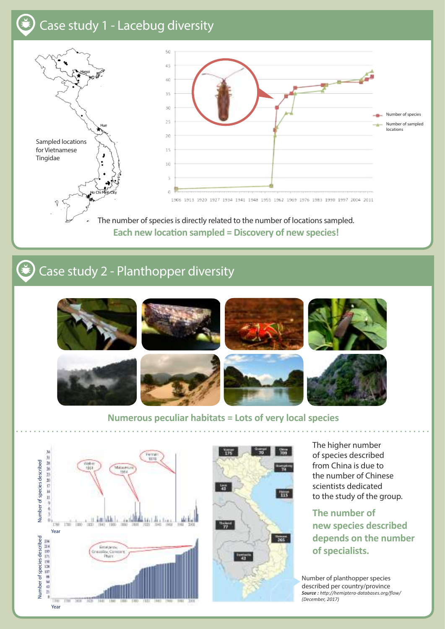# Case study 1 - Lacebug diversity



The number of species is directly related to the number of locations sampled. **Each new location sampled = Discovery of new species!**

#### (\*) Case study 2 - Planthopper diversity



#### **Numerous peculiar habitats = Lots of very local species**





The higher number of species described from China is due to the number of Chinese scientists dedicated to the study of the group.

**The number of new species described depends on the number of specialists.**

Number of planthopper species described per country/province *Source : http://hemiptera-databases.org/flow/ (December, 2017)*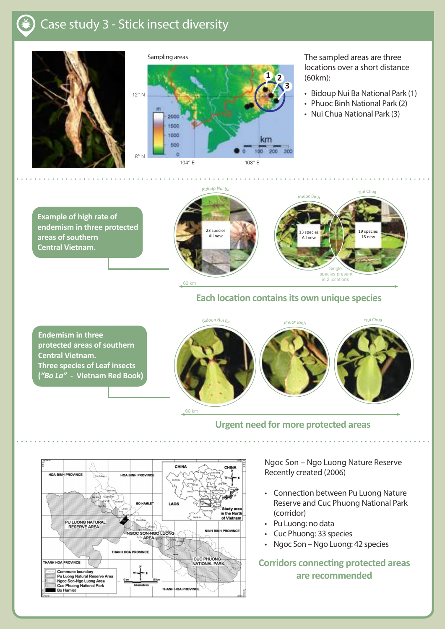## Case study 3 - Stick insect diversity







The sampled areas are three locations over a short distance (60km):

- Bidoup Nui Ba National Park (1)
- Phuoc Binh National Park (2)
- Nui Chua National Park (3)

**Example of high rate of endemism in three protected areas of southern Central Vietnam.**





#### **Each location contains its own unique species**

**Endemism in three protected areas of southern Central Vietnam. Three species of Leaf insects (***"Bo La"* **- Vietnam Red Book)** <sup>B</sup>idou<sup>p</sup> <sup>N</sup>u<sup>i</sup> <sup>B</sup><sup>a</sup>



**Urgent need for more protected areas**



Ngoc Son – Ngo Luong Nature Reserve Recently created (2006)

- Connection between Pu Luong Nature Reserve and Cuc Phuong National Park (corridor)
- Pu Luong: no data
- Cuc Phuong: 33 species
- Ngoc Son Ngo Luong: 42 species

**Corridors connecting protected areas are recommended**